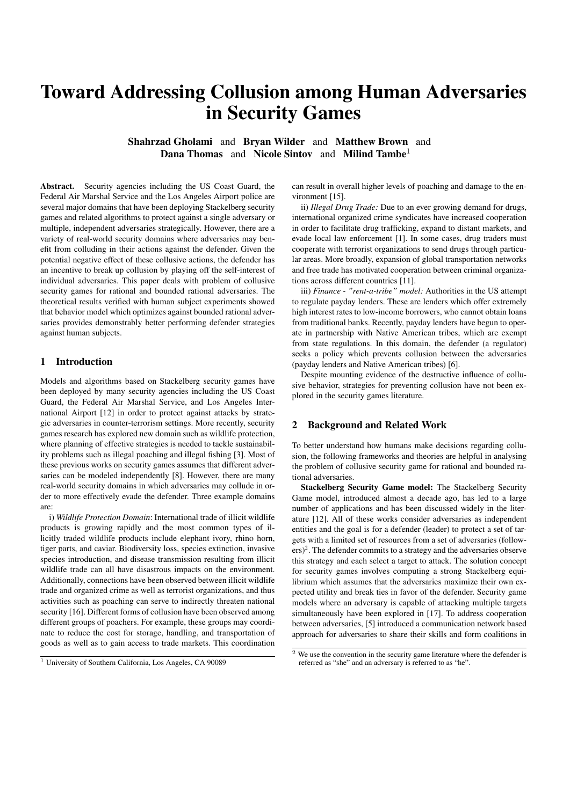# Toward Addressing Collusion among Human Adversaries in Security Games

Shahrzad Gholami and Bryan Wilder and Matthew Brown and Dana Thomas and Nicole Sintov and Milind Tambe<sup>1</sup>

Abstract. Security agencies including the US Coast Guard, the Federal Air Marshal Service and the Los Angeles Airport police are several major domains that have been deploying Stackelberg security games and related algorithms to protect against a single adversary or multiple, independent adversaries strategically. However, there are a variety of real-world security domains where adversaries may benefit from colluding in their actions against the defender. Given the potential negative effect of these collusive actions, the defender has an incentive to break up collusion by playing off the self-interest of individual adversaries. This paper deals with problem of collusive security games for rational and bounded rational adversaries. The theoretical results verified with human subject experiments showed that behavior model which optimizes against bounded rational adversaries provides demonstrably better performing defender strategies against human subjects.

### 1 Introduction

Models and algorithms based on Stackelberg security games have been deployed by many security agencies including the US Coast Guard, the Federal Air Marshal Service, and Los Angeles International Airport [12] in order to protect against attacks by strategic adversaries in counter-terrorism settings. More recently, security games research has explored new domain such as wildlife protection, where planning of effective strategies is needed to tackle sustainability problems such as illegal poaching and illegal fishing [3]. Most of these previous works on security games assumes that different adversaries can be modeled independently [8]. However, there are many real-world security domains in which adversaries may collude in order to more effectively evade the defender. Three example domains are:

i) *Wildlife Protection Domain*: International trade of illicit wildlife products is growing rapidly and the most common types of illicitly traded wildlife products include elephant ivory, rhino horn, tiger parts, and caviar. Biodiversity loss, species extinction, invasive species introduction, and disease transmission resulting from illicit wildlife trade can all have disastrous impacts on the environment. Additionally, connections have been observed between illicit wildlife trade and organized crime as well as terrorist organizations, and thus activities such as poaching can serve to indirectly threaten national security [16]. Different forms of collusion have been observed among different groups of poachers. For example, these groups may coordinate to reduce the cost for storage, handling, and transportation of goods as well as to gain access to trade markets. This coordination can result in overall higher levels of poaching and damage to the environment [15].

ii) *Illegal Drug Trade:* Due to an ever growing demand for drugs, international organized crime syndicates have increased cooperation in order to facilitate drug trafficking, expand to distant markets, and evade local law enforcement [1]. In some cases, drug traders must cooperate with terrorist organizations to send drugs through particular areas. More broadly, expansion of global transportation networks and free trade has motivated cooperation between criminal organizations across different countries [11].

iii) *Finance - "rent-a-tribe" model:* Authorities in the US attempt to regulate payday lenders. These are lenders which offer extremely high interest rates to low-income borrowers, who cannot obtain loans from traditional banks. Recently, payday lenders have begun to operate in partnership with Native American tribes, which are exempt from state regulations. In this domain, the defender (a regulator) seeks a policy which prevents collusion between the adversaries (payday lenders and Native American tribes) [6].

Despite mounting evidence of the destructive influence of collusive behavior, strategies for preventing collusion have not been explored in the security games literature.

#### 2 Background and Related Work

To better understand how humans make decisions regarding collusion, the following frameworks and theories are helpful in analysing the problem of collusive security game for rational and bounded rational adversaries.

Stackelberg Security Game model: The Stackelberg Security Game model, introduced almost a decade ago, has led to a large number of applications and has been discussed widely in the literature [12]. All of these works consider adversaries as independent entities and the goal is for a defender (leader) to protect a set of targets with a limited set of resources from a set of adversaries (follow- $\text{ers})^2$ . The defender commits to a strategy and the adversaries observe this strategy and each select a target to attack. The solution concept for security games involves computing a strong Stackelberg equilibrium which assumes that the adversaries maximize their own expected utility and break ties in favor of the defender. Security game models where an adversary is capable of attacking multiple targets simultaneously have been explored in [17]. To address cooperation between adversaries, [5] introduced a communication network based approach for adversaries to share their skills and form coalitions in

<sup>1</sup> University of Southern California, Los Angeles, CA 90089

<sup>&</sup>lt;sup>2</sup> We use the convention in the security game literature where the defender is referred as "she" and an adversary is referred to as "he".